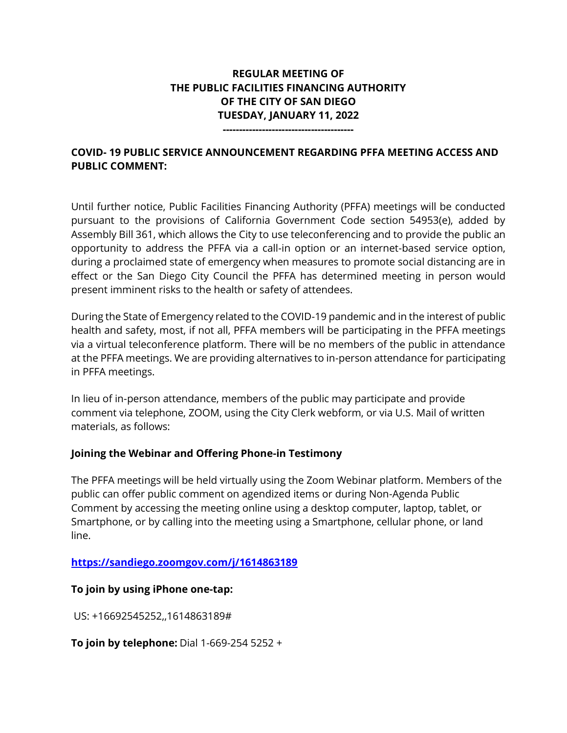# **REGULAR MEETING OF THE PUBLIC FACILITIES FINANCING AUTHORITY OF THE CITY OF SAN DIEGO TUESDAY, JANUARY 11, 2022**

**----------------------------------------**

# **COVID- 19 PUBLIC SERVICE ANNOUNCEMENT REGARDING PFFA MEETING ACCESS AND PUBLIC COMMENT:**

Until further notice, Public Facilities Financing Authority (PFFA) meetings will be conducted pursuant to the provisions of California Government Code section 54953(e), added by Assembly Bill 361, which allows the City to use teleconferencing and to provide the public an opportunity to address the PFFA via a call-in option or an internet-based service option, during a proclaimed state of emergency when measures to promote social distancing are in effect or the San Diego City Council the PFFA has determined meeting in person would present imminent risks to the health or safety of attendees.

During the State of Emergency related to the COVID-19 pandemic and in the interest of public health and safety, most, if not all, PFFA members will be participating in the PFFA meetings via a virtual teleconference platform. There will be no members of the public in attendance at the PFFA meetings. We are providing alternatives to in-person attendance for participating in PFFA meetings.

In lieu of in-person attendance, members of the public may participate and provide comment via telephone, ZOOM, using the City Clerk webform, or via U.S. Mail of written materials, as follows:

### **Joining the Webinar and Offering Phone-in Testimony**

The PFFA meetings will be held virtually using the Zoom Webinar platform. Members of the public can offer public comment on agendized items or during Non-Agenda Public Comment by accessing the meeting online using a desktop computer, laptop, tablet, or Smartphone, or by calling into the meeting using a Smartphone, cellular phone, or land line.

### **<https://sandiego.zoomgov.com/j/1614863189>**

### **To join by using iPhone one-tap:**

US: +16692545252,,1614863189#

#### **To join by telephone:** Dial 1-669-254 5252 +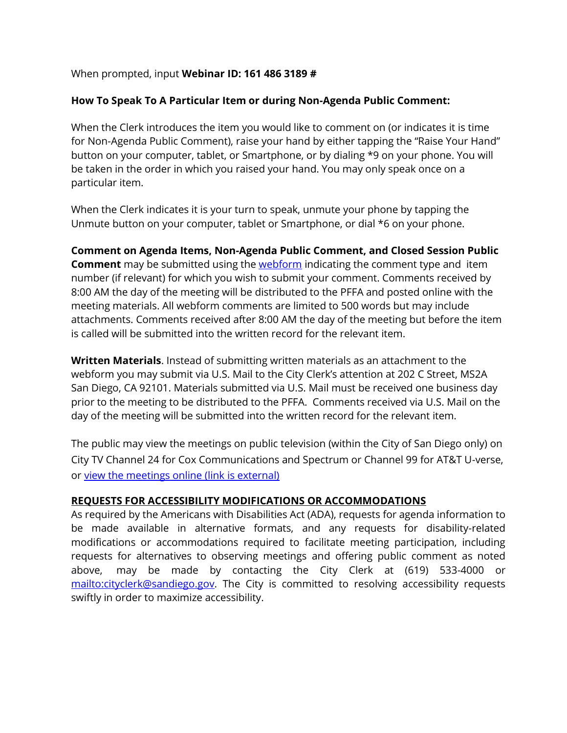## When prompted, input **Webinar ID: 161 486 3189 #**

# **How To Speak To A Particular Item or during Non-Agenda Public Comment:**

When the Clerk introduces the item you would like to comment on (or indicates it is time for Non-Agenda Public Comment), raise your hand by either tapping the "Raise Your Hand" button on your computer, tablet, or Smartphone, or by dialing \*9 on your phone. You will be taken in the order in which you raised your hand. You may only speak once on a particular item.

When the Clerk indicates it is your turn to speak, unmute your phone by tapping the Unmute button on your computer, tablet or Smartphone, or dial \*6 on your phone.

**Comment on Agenda Items, Non-Agenda Public Comment, and Closed Session Public Comment** may be submitted using the **webform** indicating the comment type and item number (if relevant) for which you wish to submit your comment. Comments received by 8:00 AM the day of the meeting will be distributed to the PFFA and posted online with the meeting materials. All webform comments are limited to 500 words but may include attachments. Comments received after 8:00 AM the day of the meeting but before the item is called will be submitted into the written record for the relevant item.

**Written Materials**. Instead of submitting written materials as an attachment to the webform you may submit via U.S. Mail to the City Clerk's attention at 202 C Street, MS2A San Diego, CA 92101. Materials submitted via U.S. Mail must be received one business day prior to the meeting to be distributed to the PFFA. Comments received via U.S. Mail on the day of the meeting will be submitted into the written record for the relevant item.

The public may view the meetings on public television (within the City of San Diego only) on City TV Channel 24 for Cox Communications and Spectrum or Channel 99 for AT&T U-verse, or [view the meetings online \(link](http://sandiego.granicus.com/ViewPublisher.php?view_id=31) is external)

# **REQUESTS FOR ACCESSIBILITY MODIFICATIONS OR ACCOMMODATIONS**

As required by the Americans with Disabilities Act (ADA), requests for agenda information to be made available in alternative formats, and any requests for disability-related modifications or accommodations required to facilitate meeting participation, including requests for alternatives to observing meetings and offering public comment as noted above, may be made by contacting the City Clerk at (619) 533-4000 or [mailto:cityclerk@sandiego.gov.](mailto:cityclerk@sandiego.gov) The City is committed to resolving accessibility requests swiftly in order to maximize accessibility.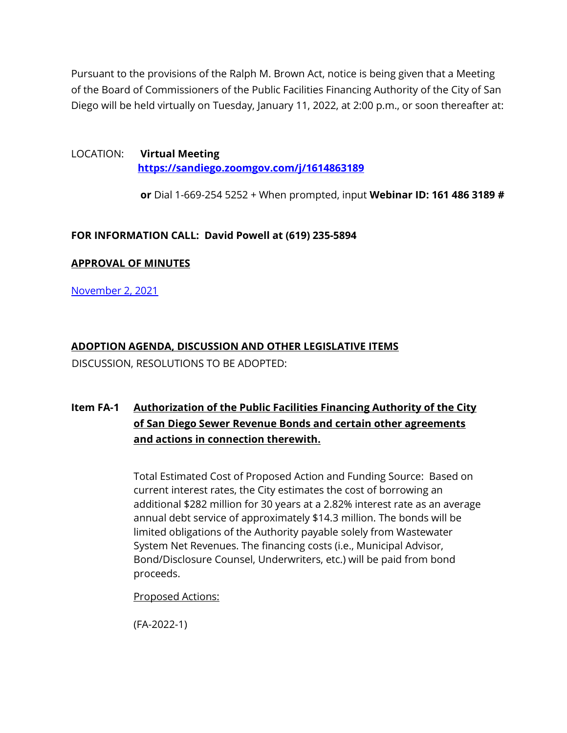Pursuant to the provisions of the Ralph M. Brown Act, notice is being given that a Meeting of the Board of Commissioners of the Public Facilities Financing Authority of the City of San Diego will be held virtually on Tuesday, January 11, 2022, at 2:00 p.m., or soon thereafter at:

LOCATION: **Virtual Meeting <https://sandiego.zoomgov.com/j/1614863189>**

**or** Dial 1-669-254 5252 + When prompted, input **Webinar ID: 161 486 3189 #**

### **FOR INFORMATION CALL: David Powell at (619) 235-5894**

#### **APPROVAL OF MINUTES**

[November 2, 2021](https://www.sandiego.gov/sites/default/files/1102pffa.pdf)

# **ADOPTION AGENDA, DISCUSSION AND OTHER LEGISLATIVE ITEMS**

DISCUSSION, RESOLUTIONS TO BE ADOPTED:

# **Item FA-1 [Authorization of the Public Facilities Financing Authority of the City](https://www.sandiego.gov/sites/default/files/pffa_fa-1_1-11-2022.pdf.pdf)  [of San Diego Sewer Revenue Bonds and certain other agreements](https://www.sandiego.gov/sites/default/files/pffa_fa-1_1-11-2022.pdf.pdf)  [and actions in connection therewith.](https://www.sandiego.gov/sites/default/files/pffa_fa-1_1-11-2022.pdf.pdf)**

Total Estimated Cost of Proposed Action and Funding Source: Based on current interest rates, the City estimates the cost of borrowing an additional \$282 million for 30 years at a 2.82% interest rate as an average annual debt service of approximately \$14.3 million. The bonds will be limited obligations of the Authority payable solely from Wastewater System Net Revenues. The financing costs (i.e., Municipal Advisor, Bond/Disclosure Counsel, Underwriters, etc.) will be paid from bond proceeds.

Proposed Actions:

(FA-2022-1)